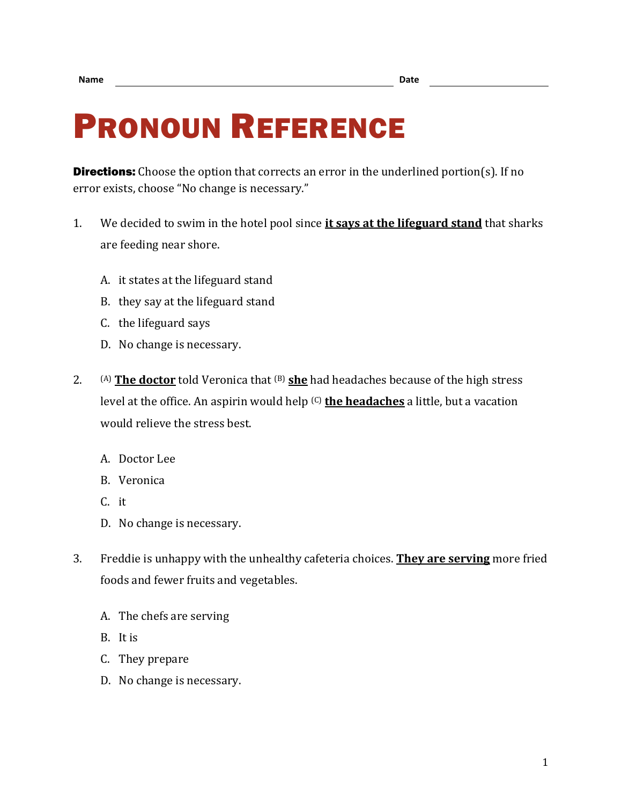## PRONOUN REFERENCE

**Directions:** Choose the option that corrects an error in the underlined portion(s). If no error exists, choose "No change is necessary."

- 1. We decided to swim in the hotel pool since **it says at the lifeguard stand** that sharks are feeding near shore.
	- A. it states at the lifeguard stand
	- B. they say at the lifeguard stand
	- C. the lifeguard says
	- D. No change is necessary.
- 2. (A) **The doctor** told Veronica that <sup>(B)</sup> she had headaches because of the high stress level at the office. An aspirin would help (C) **the headaches** a little, but a vacation would relieve the stress best.
	- A. Doctor Lee
	- B. Veronica
	- C. it
	- D. No change is necessary.
- 3. Freddie is unhappy with the unhealthy cafeteria choices. **They are serving** more fried foods and fewer fruits and vegetables.
	- A. The chefs are serving
	- B. It is
	- C. They prepare
	- D. No change is necessary.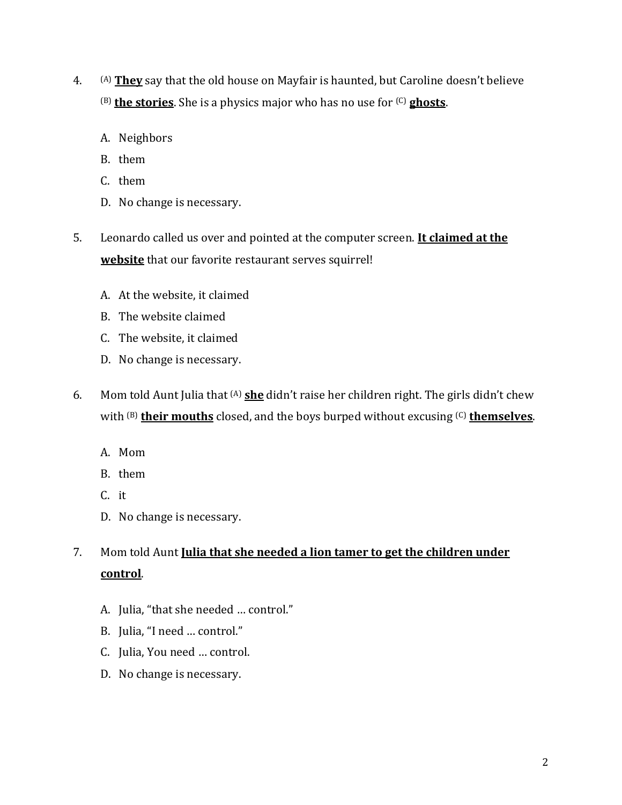- 4. (A) **They** say that the old house on Mayfair is haunted, but Caroline doesn't believe (B) **the stories**. She is a physics major who has no use for (C) **ghosts**.
	- A. Neighbors
	- B. them
	- C. them
	- D. No change is necessary.
- 5. Leonardo called us over and pointed at the computer screen. **It claimed at the website** that our favorite restaurant serves squirrel!
	- A. At the website, it claimed
	- B. The website claimed
	- C. The website, it claimed
	- D. No change is necessary.
- 6. Mom told Aunt Julia that (A) **she** didn't raise her children right. The girls didn't chew with <sup>(B)</sup> their mouths closed, and the boys burped without excusing <sup>(C)</sup> themselves.
	- A. Mom
	- B. them
	- C. it
	- D. No change is necessary.

7. Mom told Aunt **Julia that she needed a lion tamer to get the children under control**.

- A. Julia, "that she needed … control."
- B. Julia, "I need … control."
- C. Julia, You need … control.
- D. No change is necessary.